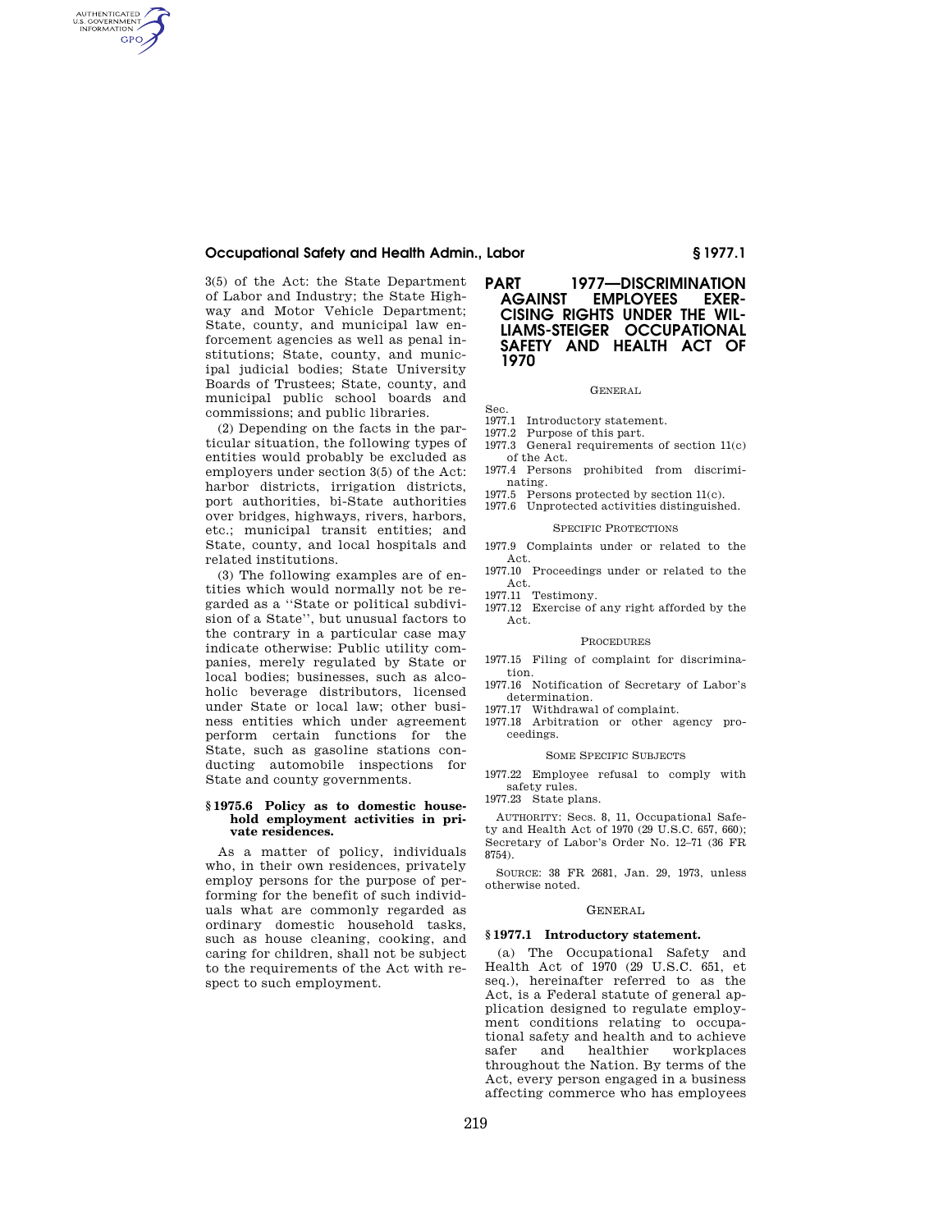## **Occupational Safety and Health Admin., Labor § 1977.1**

3(5) of the Act: the State Department of Labor and Industry; the State Highway and Motor Vehicle Department; State, county, and municipal law enforcement agencies as well as penal institutions; State, county, and municipal judicial bodies; State University Boards of Trustees; State, county, and municipal public school boards and commissions; and public libraries.

AUTHENTICATED<br>U.S. GOVERNMENT<br>INFORMATION **GPO** 

> (2) Depending on the facts in the particular situation, the following types of entities would probably be excluded as employers under section 3(5) of the Act: harbor districts, irrigation districts, port authorities, bi-State authorities over bridges, highways, rivers, harbors, etc.; municipal transit entities; and State, county, and local hospitals and related institutions.

> (3) The following examples are of entities which would normally not be regarded as a ''State or political subdivision of a State'', but unusual factors to the contrary in a particular case may indicate otherwise: Public utility companies, merely regulated by State or local bodies; businesses, such as alcoholic beverage distributors, licensed under State or local law; other business entities which under agreement perform certain functions for the State, such as gasoline stations conducting automobile inspections for State and county governments.

### **§ 1975.6 Policy as to domestic household employment activities in private residences.**

As a matter of policy, individuals who, in their own residences, privately employ persons for the purpose of performing for the benefit of such individuals what are commonly regarded as ordinary domestic household tasks, such as house cleaning, cooking, and caring for children, shall not be subject to the requirements of the Act with respect to such employment.

# **PART 1977—DISCRIMINATION EMPLOYEES EXER-CISING RIGHTS UNDER THE WIL-LIAMS-STEIGER OCCUPATIONAL SAFETY AND HEALTH ACT OF 1970**

#### GENERAL

## Sec.

- 1977.1 Introductory statement.
- 1977.2 Purpose of this part.
- 1977.3 General requirements of section 11(c) of the Act.
- 1977.4 Persons prohibited from discriminating.
- 1977.5 Persons protected by section 11(c).
- 1977.6 Unprotected activities distinguished.

## SPECIFIC PROTECTIONS

- 1977.9 Complaints under or related to the Act.
- 1977.10 Proceedings under or related to the Act.
- 1977.11 Testimony.
- 1977.12 Exercise of any right afforded by the Act.

## PROCEDURES

- 1977.15 Filing of complaint for discrimination.
- 1977.16 Notification of Secretary of Labor's determination.
- 1977.17 Withdrawal of complaint.
- 1977.18 Arbitration or other agency proceedings.

#### SOME SPECIFIC SUBJECTS

1977.22 Employee refusal to comply with safety rules.

1977.23 State plans.

AUTHORITY: Secs. 8, 11, Occupational Safety and Health Act of 1970 (29 U.S.C. 657, 660); Secretary of Labor's Order No. 12–71 (36 FR 8754).

SOURCE: 38 FR 2681, Jan. 29, 1973, unless otherwise noted.

#### GENERAL

### **§ 1977.1 Introductory statement.**

(a) The Occupational Safety and Health Act of 1970 (29 U.S.C. 651, et seq.), hereinafter referred to as the Act, is a Federal statute of general application designed to regulate employment conditions relating to occupational safety and health and to achieve workplaces throughout the Nation. By terms of the Act, every person engaged in a business affecting commerce who has employees